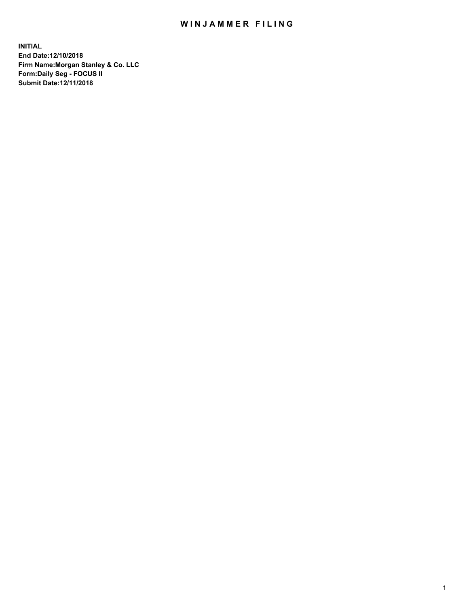## WIN JAMMER FILING

**INITIAL End Date:12/10/2018 Firm Name:Morgan Stanley & Co. LLC Form:Daily Seg - FOCUS II Submit Date:12/11/2018**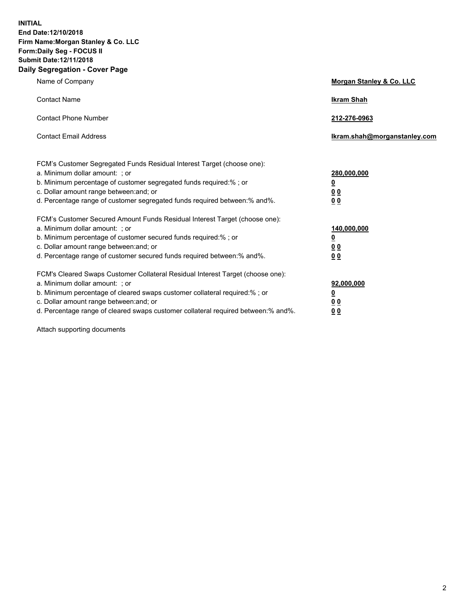**INITIAL End Date:12/10/2018 Firm Name:Morgan Stanley & Co. LLC Form:Daily Seg - FOCUS II Submit Date:12/11/2018 Daily Segregation - Cover Page**

| Name of Company                                                                                                                                                                                                                                                                                                                | Morgan Stanley & Co. LLC                               |
|--------------------------------------------------------------------------------------------------------------------------------------------------------------------------------------------------------------------------------------------------------------------------------------------------------------------------------|--------------------------------------------------------|
| <b>Contact Name</b>                                                                                                                                                                                                                                                                                                            | <b>Ikram Shah</b>                                      |
| <b>Contact Phone Number</b>                                                                                                                                                                                                                                                                                                    | 212-276-0963                                           |
| <b>Contact Email Address</b>                                                                                                                                                                                                                                                                                                   | Ikram.shah@morganstanley.com                           |
| FCM's Customer Segregated Funds Residual Interest Target (choose one):<br>a. Minimum dollar amount: ; or<br>b. Minimum percentage of customer segregated funds required:% ; or<br>c. Dollar amount range between: and; or<br>d. Percentage range of customer segregated funds required between:% and%.                         | 280,000,000<br><u>0</u><br>00<br>00                    |
| FCM's Customer Secured Amount Funds Residual Interest Target (choose one):<br>a. Minimum dollar amount: ; or<br>b. Minimum percentage of customer secured funds required:% ; or<br>c. Dollar amount range between: and; or<br>d. Percentage range of customer secured funds required between: % and %.                         | 140,000,000<br><u>0</u><br><u>00</u><br>0 <sub>0</sub> |
| FCM's Cleared Swaps Customer Collateral Residual Interest Target (choose one):<br>a. Minimum dollar amount: ; or<br>b. Minimum percentage of cleared swaps customer collateral required:% ; or<br>c. Dollar amount range between: and; or<br>d. Percentage range of cleared swaps customer collateral required between:% and%. | 92,000,000<br><u>0</u><br>0 Q<br>00                    |

Attach supporting documents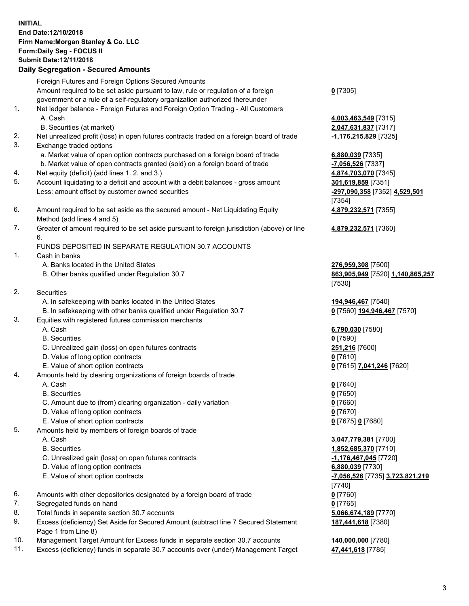## **INITIAL End Date:12/10/2018 Firm Name:Morgan Stanley & Co. LLC Form:Daily Seg - FOCUS II Submit Date:12/11/2018**

## **Daily Segregation - Secured Amounts**

Foreign Futures and Foreign Options Secured Amounts Amount required to be set aside pursuant to law, rule or regulation of a foreign government or a rule of a self-regulatory organization authorized thereunder 1. Net ledger balance - Foreign Futures and Foreign Option Trading - All Customers A. Cash **4,003,463,549** [7315]

- B. Securities (at market) **2,047,631,837** [7317]
- 2. Net unrealized profit (loss) in open futures contracts traded on a foreign board of trade **-1,176,215,829** [7325]
- 3. Exchange traded options
	- a. Market value of open option contracts purchased on a foreign board of trade **6,880,039** [7335]
	- b. Market value of open contracts granted (sold) on a foreign board of trade **-7,056,526** [7337]
- 4. Net equity (deficit) (add lines 1. 2. and 3.) **4,874,703,070** [7345]
- 5. Account liquidating to a deficit and account with a debit balances gross amount **301,619,859** [7351] Less: amount offset by customer owned securities **-297,090,358** [7352] **4,529,501**
- 6. Amount required to be set aside as the secured amount Net Liquidating Equity Method (add lines 4 and 5)
- 7. Greater of amount required to be set aside pursuant to foreign jurisdiction (above) or line 6.

## FUNDS DEPOSITED IN SEPARATE REGULATION 30.7 ACCOUNTS

- 1. Cash in banks
	- A. Banks located in the United States **276,959,308** [7500]
	- B. Other banks qualified under Regulation 30.7 **863,905,949** [7520] **1,140,865,257**
- 2. Securities
	- A. In safekeeping with banks located in the United States **194,946,467** [7540]
	- B. In safekeeping with other banks qualified under Regulation 30.7 **0** [7560] **194,946,467** [7570]
- 3. Equities with registered futures commission merchants
	-
	- B. Securities **0** [7590]
	- C. Unrealized gain (loss) on open futures contracts **251,216** [7600]
	- D. Value of long option contracts **0** [7610]
- E. Value of short option contracts **0** [7615] **7,041,246** [7620]
- 4. Amounts held by clearing organizations of foreign boards of trade
	- A. Cash **0** [7640]
	- B. Securities **0** [7650]
	- C. Amount due to (from) clearing organization daily variation **0** [7660]
	- D. Value of long option contracts **0** [7670]
	- E. Value of short option contracts **0** [7675] **0** [7680]
- 5. Amounts held by members of foreign boards of trade
	-
	-
	- C. Unrealized gain (loss) on open futures contracts **-1,176,467,045** [7720]
	- D. Value of long option contracts **6,880,039** [7730]
	- E. Value of short option contracts **-7,056,526** [7735] **3,723,821,219**
- 6. Amounts with other depositories designated by a foreign board of trade **0** [7760]
- 7. Segregated funds on hand **0** [7765]
- 8. Total funds in separate section 30.7 accounts **5,066,674,189** [7770]
- 9. Excess (deficiency) Set Aside for Secured Amount (subtract line 7 Secured Statement Page 1 from Line 8)
- 10. Management Target Amount for Excess funds in separate section 30.7 accounts **140,000,000** [7780]
- 11. Excess (deficiency) funds in separate 30.7 accounts over (under) Management Target **47,441,618** [7785]

**0** [7305]

[7354] **4,879,232,571** [7355]

**4,879,232,571** [7360]

[7530]

A. Cash **6,790,030** [7580]

 A. Cash **3,047,779,381** [7700] B. Securities **1,852,685,370** [7710] [7740] **187,441,618** [7380]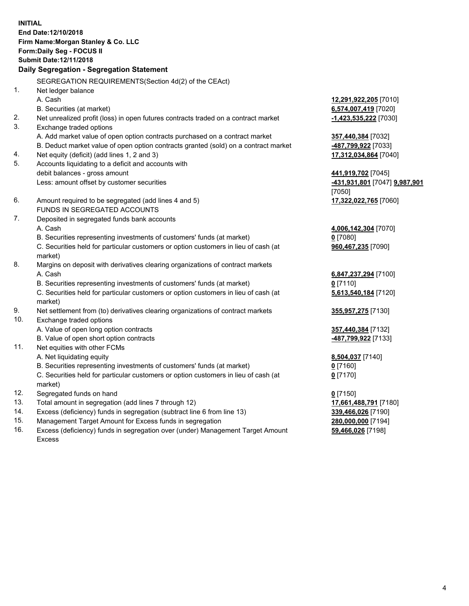**INITIAL End Date:12/10/2018 Firm Name:Morgan Stanley & Co. LLC Form:Daily Seg - FOCUS II Submit Date:12/11/2018 Daily Segregation - Segregation Statement** SEGREGATION REQUIREMENTS(Section 4d(2) of the CEAct) 1. Net ledger balance A. Cash **12,291,922,205** [7010] B. Securities (at market) **6,574,007,419** [7020] 2. Net unrealized profit (loss) in open futures contracts traded on a contract market **-1,423,535,222** [7030] 3. Exchange traded options A. Add market value of open option contracts purchased on a contract market **357,440,384** [7032] B. Deduct market value of open option contracts granted (sold) on a contract market **-487,799,922** [7033] 4. Net equity (deficit) (add lines 1, 2 and 3) **17,312,034,864** [7040] 5. Accounts liquidating to a deficit and accounts with debit balances - gross amount **441,919,702** [7045] Less: amount offset by customer securities **-431,931,801** [7047] **9,987,901** [7050] 6. Amount required to be segregated (add lines 4 and 5) **17,322,022,765** [7060] FUNDS IN SEGREGATED ACCOUNTS 7. Deposited in segregated funds bank accounts A. Cash **4,006,142,304** [7070] B. Securities representing investments of customers' funds (at market) **0** [7080] C. Securities held for particular customers or option customers in lieu of cash (at market) **960,467,235** [7090] 8. Margins on deposit with derivatives clearing organizations of contract markets A. Cash **6,847,237,294** [7100] B. Securities representing investments of customers' funds (at market) **0** [7110] C. Securities held for particular customers or option customers in lieu of cash (at market) **5,613,540,184** [7120] 9. Net settlement from (to) derivatives clearing organizations of contract markets **355,957,275** [7130] 10. Exchange traded options A. Value of open long option contracts **357,440,384** [7132] B. Value of open short option contracts **-487,799,922** [7133] 11. Net equities with other FCMs A. Net liquidating equity **8,504,037** [7140] B. Securities representing investments of customers' funds (at market) **0** [7160] C. Securities held for particular customers or option customers in lieu of cash (at market) **0** [7170] 12. Segregated funds on hand **0** [7150] 13. Total amount in segregation (add lines 7 through 12) **17,661,488,791** [7180] 14. Excess (deficiency) funds in segregation (subtract line 6 from line 13) **339,466,026** [7190]

- 15. Management Target Amount for Excess funds in segregation **280,000,000** [7194]
- 16. Excess (deficiency) funds in segregation over (under) Management Target Amount Excess

**59,466,026** [7198]